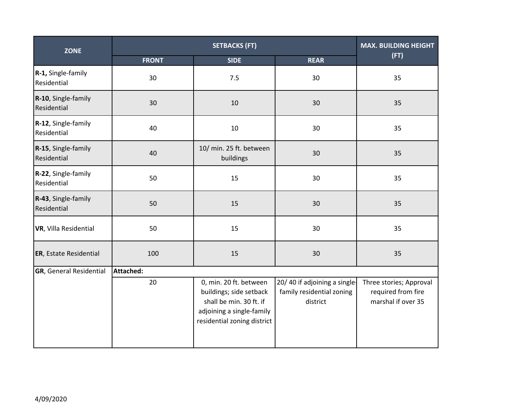| <b>ZONE</b>                        | <b>SETBACKS (FT)</b> |                                                                                                                                          |                                                                       | <b>MAX. BUILDING HEIGHT</b>                                         |
|------------------------------------|----------------------|------------------------------------------------------------------------------------------------------------------------------------------|-----------------------------------------------------------------------|---------------------------------------------------------------------|
|                                    | <b>FRONT</b>         | <b>SIDE</b>                                                                                                                              | <b>REAR</b>                                                           | (FT)                                                                |
| R-1, Single-family<br>Residential  | 30                   | 7.5                                                                                                                                      | 30                                                                    | 35                                                                  |
| R-10, Single-family<br>Residential | 30                   | 10                                                                                                                                       | 30                                                                    | 35                                                                  |
| R-12, Single-family<br>Residential | 40                   | 10                                                                                                                                       | 30                                                                    | 35                                                                  |
| R-15, Single-family<br>Residential | 40                   | 10/ min. 25 ft. between<br>buildings                                                                                                     | 30                                                                    | 35                                                                  |
| R-22, Single-family<br>Residential | 50                   | 15                                                                                                                                       | 30                                                                    | 35                                                                  |
| R-43, Single-family<br>Residential | 50                   | 15                                                                                                                                       | 30                                                                    | 35                                                                  |
| VR, Villa Residential              | 50                   | 15                                                                                                                                       | 30                                                                    | 35                                                                  |
| <b>ER, Estate Residential</b>      | 100                  | 15                                                                                                                                       | 30                                                                    | 35                                                                  |
| <b>GR</b> , General Residential    | Attached:            |                                                                                                                                          |                                                                       |                                                                     |
|                                    | 20                   | 0, min. 20 ft. between<br>buildings; side setback<br>shall be min. 30 ft. if<br>adjoining a single-family<br>residential zoning district | 20/40 if adjoining a single-<br>family residential zoning<br>district | Three stories; Approval<br>required from fire<br>marshal if over 35 |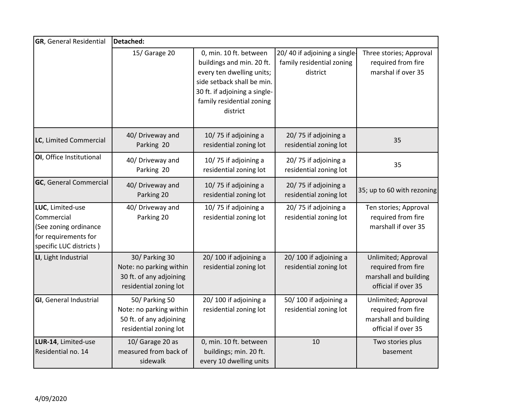| <b>GR</b> , General Residential                                                                            | Detached:                                                                                      |                                                                                                                                                                                          |                                                                       |                                                                                           |  |
|------------------------------------------------------------------------------------------------------------|------------------------------------------------------------------------------------------------|------------------------------------------------------------------------------------------------------------------------------------------------------------------------------------------|-----------------------------------------------------------------------|-------------------------------------------------------------------------------------------|--|
|                                                                                                            | 15/ Garage 20                                                                                  | 0, min. 10 ft. between<br>buildings and min. 20 ft.<br>every ten dwelling units;<br>side setback shall be min.<br>30 ft. if adjoining a single-<br>family residential zoning<br>district | 20/40 if adjoining a single-<br>family residential zoning<br>district | Three stories; Approval<br>required from fire<br>marshal if over 35                       |  |
| LC, Limited Commercial                                                                                     | 40/ Driveway and<br>Parking 20                                                                 | 10/75 if adjoining a<br>residential zoning lot                                                                                                                                           | 20/75 if adjoining a<br>residential zoning lot                        | 35                                                                                        |  |
| OI, Office Institutional                                                                                   | 40/ Driveway and<br>Parking 20                                                                 | 10/75 if adjoining a<br>residential zoning lot                                                                                                                                           | 20/75 if adjoining a<br>residential zoning lot                        | 35                                                                                        |  |
| <b>GC</b> , General Commercial                                                                             | 40/ Driveway and<br>Parking 20                                                                 | 10/75 if adjoining a<br>residential zoning lot                                                                                                                                           | 20/75 if adjoining a<br>residential zoning lot                        | 35; up to 60 with rezoning                                                                |  |
| LUC, Limited-use<br>Commercial<br>(See zoning ordinance<br>for requirements for<br>specific LUC districts) | 40/ Driveway and<br>Parking 20                                                                 | 10/75 if adjoining a<br>residential zoning lot                                                                                                                                           | 20/75 if adjoining a<br>residential zoning lot                        | Ten stories; Approval<br>required from fire<br>marshall if over 35                        |  |
| LI, Light Industrial                                                                                       | 30/ Parking 30<br>Note: no parking within<br>30 ft. of any adjoining<br>residential zoning lot | 20/100 if adjoining a<br>residential zoning lot                                                                                                                                          | 20/100 if adjoining a<br>residential zoning lot                       | Unlimited; Approval<br>required from fire<br>marshall and building<br>official if over 35 |  |
| <b>GI</b> , General Industrial                                                                             | 50/ Parking 50<br>Note: no parking within<br>50 ft. of any adjoining<br>residential zoning lot | 20/100 if adjoining a<br>residential zoning lot                                                                                                                                          | 50/100 if adjoining a<br>residential zoning lot                       | Unlimited; Approval<br>required from fire<br>marshall and building<br>official if over 35 |  |
| LUR-14, Limited-use<br>Residential no. 14                                                                  | 10/ Garage 20 as<br>measured from back of<br>sidewalk                                          | 0, min. 10 ft. between<br>buildings; min. 20 ft.<br>every 10 dwelling units                                                                                                              | 10                                                                    | Two stories plus<br>basement                                                              |  |